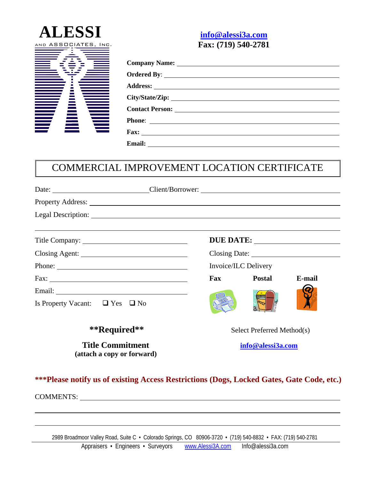



## COMMERCIAL IMPROVEMENT LOCATION CERTIFICATE

| Date: Client/Borrower:                                |                                |                   |        |        |  |  |
|-------------------------------------------------------|--------------------------------|-------------------|--------|--------|--|--|
|                                                       |                                |                   |        |        |  |  |
|                                                       |                                |                   |        |        |  |  |
|                                                       |                                |                   |        |        |  |  |
|                                                       |                                |                   |        |        |  |  |
|                                                       | Invoice/ILC Delivery<br>Phone: |                   |        |        |  |  |
|                                                       |                                | Fax               | Postal | E-mail |  |  |
| Is Property Vacant: $\Box$ Yes $\Box$ No              |                                |                   |        |        |  |  |
| **Required**                                          | Select Preferred Method(s)     |                   |        |        |  |  |
| <b>Title Commitment</b><br>(attach a copy or forward) |                                | info@alessi3a.com |        |        |  |  |

**\*\*\*Please notify us of existing Access Restrictions (Dogs, Locked Gates, Gate Code, etc.)**

COMMENTS:

 $\overline{a}$ 

2989 Broadmoor Valley Road, Suite C • Colorado Springs, CO 80906-3720 • (719) 540-8832 • FAX: (719) 540-2781